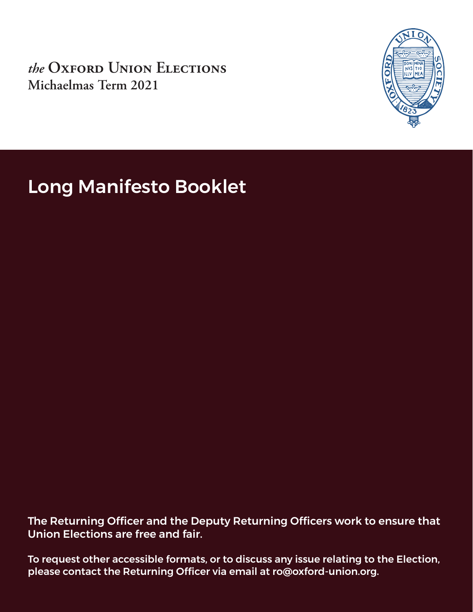*the* **Oxford Union Elections Michaelmas Term 2021**



Long Manifesto Booklet

The Returning Officer and the Deputy Returning Officers work to ensure that Union Elections are free and fair.

To request other accessible formats, or to discuss any issue relating to the Election, please contact the Returning Officer via email at ro@oxford-union.org.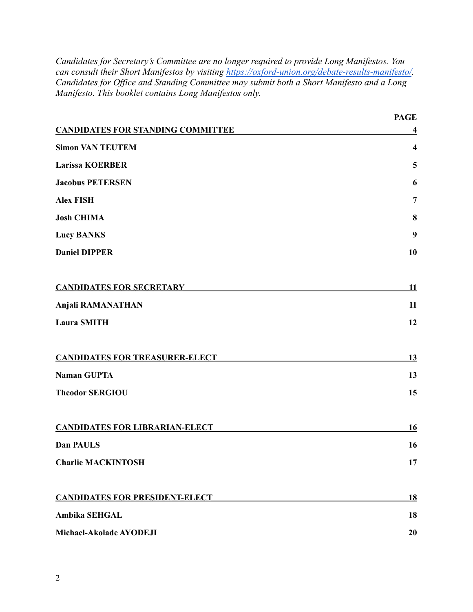*Candidates for Secretary's Committee are no longer required to provide Long Manifestos. You can consult their Short Manifestos by visiting <https://oxford-union.org/debate-results-manifesto/>. Candidates for Office and Standing Committee may submit both a Short Manifesto and a Long Manifesto. This booklet contains Long Manifestos only.*

|                                          | <b>PAGE</b>    |
|------------------------------------------|----------------|
| <b>CANDIDATES FOR STANDING COMMITTEE</b> | 4              |
| <b>Simon VAN TEUTEM</b>                  | 4              |
| <b>Larissa KOERBER</b>                   | 5              |
| <b>Jacobus PETERSEN</b>                  | 6              |
| <b>Alex FISH</b>                         | $\overline{7}$ |
| <b>Josh CHIMA</b>                        | 8              |
| <b>Lucy BANKS</b>                        | 9              |
| <b>Daniel DIPPER</b>                     | 10             |
| <b>CANDIDATES FOR SECRETARY</b>          | <u>11</u>      |
| <b>Anjali RAMANATHAN</b>                 | 11             |
| <b>Laura SMITH</b>                       | 12             |
| <b>CANDIDATES FOR TREASURER-ELECT</b>    | 13             |
| <b>Naman GUPTA</b>                       | 13             |
| <b>Theodor SERGIOU</b>                   | 15             |
| <b>CANDIDATES FOR LIBRARIAN-ELECT</b>    | <b>16</b>      |
| Dan PAULS                                | 16             |
| <b>Charlie MACKINTOSH</b>                | 17             |
| <b>CANDIDATES FOR PRESIDENT-ELECT</b>    | 18             |
| <b>Ambika SEHGAL</b>                     | 18             |
| Michael-Akolade AYODEJI                  | 20             |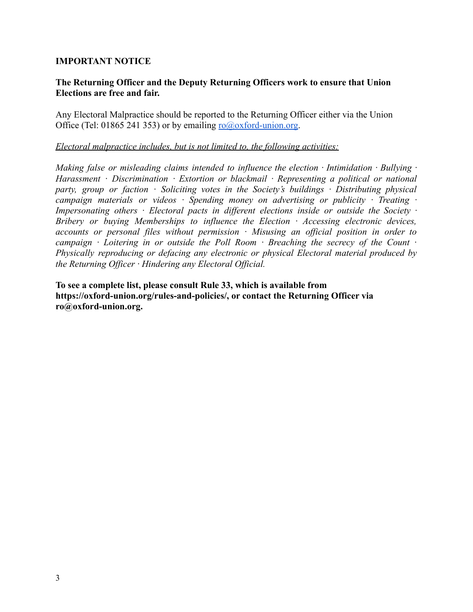#### **IMPORTANT NOTICE**

#### **The Returning Officer and the Deputy Returning Officers work to ensure that Union Elections are free and fair.**

Any Electoral Malpractice should be reported to the Returning Officer either via the Union Office (Tel: 01865 241 353) or by emailing  $\frac{1}{2}$  contracts of lumion.org.

#### *Electoral malpractice includes, but is not limited to, the following activities:*

*Making false or misleading claims intended to influence the election · Intimidation · Bullying · Harassment · Discrimination · Extortion or blackmail · Representing a political or national party, group or faction · Soliciting votes in the Society's buildings · Distributing physical campaign materials or videos · Spending money on advertising or publicity · Treating · Impersonating others · Electoral pacts in different elections inside or outside the Society · Bribery or buying Memberships to influence the Election · Accessing electronic devices, accounts or personal files without permission · Misusing an official position in order to campaign · Loitering in or outside the Poll Room · Breaching the secrecy of the Count · Physically reproducing or defacing any electronic or physical Electoral material produced by the Returning Officer · Hindering any Electoral Official.*

<span id="page-2-0"></span>**To see a complete list, please consult Rule 33, which is available from https://oxford-union.org/rules-and-policies/, or contact the Returning Officer via ro@oxford-union.org.**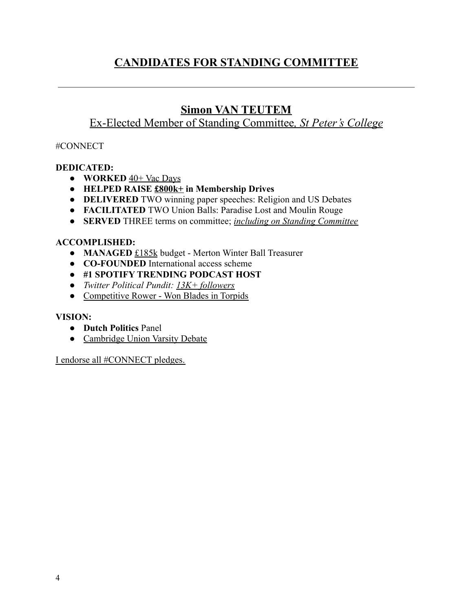# **CANDIDATES FOR STANDING COMMITTEE**

# **Simon VAN TEUTEM**

### <span id="page-3-0"></span>Ex-Elected Member of Standing Committee*, St Peter's College*

### #CONNECT

### **DEDICATED:**

- **WORKED** 40+ Vac Days
- **HELPED RAISE £800k+ in Membership Drives**
- **DELIVERED** TWO winning paper speeches: Religion and US Debates
- **FACILITATED** TWO Union Balls: Paradise Lost and Moulin Rouge
- **SERVED** THREE terms on committee; *including on Standing Committee*

### **ACCOMPLISHED:**

- **MANAGED** £185k budget Merton Winter Ball Treasurer
- **CO-FOUNDED** International access scheme
- **● #1 SPOTIFY TRENDING PODCAST HOST**
- *● Twitter Political Pundit: 13K+ followers*
- Competitive Rower Won Blades in Torpids

### **VISION:**

- **Dutch Politics** Panel
- Cambridge Union Varsity Debate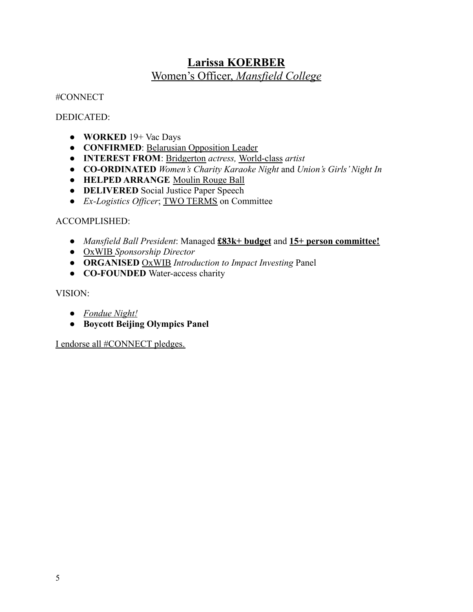# **Larissa KOERBER** Women's Officer, *Mansfield College*

<span id="page-4-0"></span>#CONNECT

DEDICATED:

- **WORKED** 19+ Vac Days
- **CONFIRMED**: Belarusian Opposition Leader
- **INTEREST FROM**: Bridgerton *actress,* World-class *artist*
- **CO-ORDINATED** *Women's Charity Karaoke Night* and *Union's Girls' Night In*
- **HELPED ARRANGE** Moulin Rouge Ball
- **DELIVERED** Social Justice Paper Speech
- *Ex-Logistics Officer*; TWO TERMS on Committee

### ACCOMPLISHED:

- *Mansfield Ball President*: Managed **£83k+ budget** and **15+ person committee!**
- OxWIB *Sponsorship Director*
- **ORGANISED** OxWIB *Introduction to Impact Investing* Panel
- **CO-FOUNDED** Water-access charity

### VISION:

- *● Fondue Night!*
- **● Boycott Beijing Olympics Panel**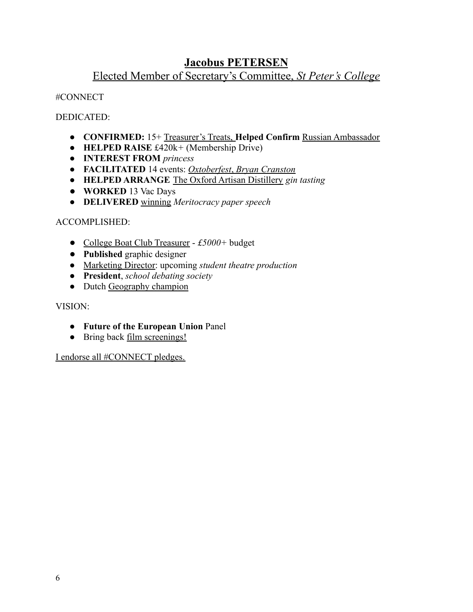### **Jacobus PETERSEN**

### Elected Member of Secretary's Committee, *St Peter's College*

<span id="page-5-0"></span>#CONNECT

DEDICATED:

- **CONFIRMED:** 15+ Treasurer's Treats, **Helped Confirm** Russian Ambassador
- **HELPED RAISE** £420k*+* (Membership Drive)
- **INTEREST FROM** *princess*
- **FACILITATED** 14 events: *Oxtoberfest*, *Bryan Cranston*
- **● HELPED ARRANGE** The Oxford Artisan Distillery *gin tasting*
- **WORKED** 13 Vac Days
- **● DELIVERED** winning *Meritocracy paper speech*

### ACCOMPLISHED:

- College Boat Club Treasurer *£5000+* budget
- **Published** graphic designer
- Marketing Director: upcoming *student theatre production*
- **President**, *school debating society*
- Dutch Geography champion

### VISION:

- **Future of the European Union** Panel
- Bring back <u>film screenings!</u>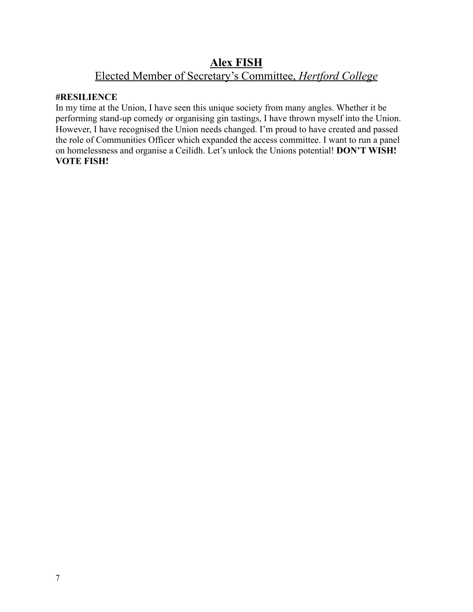### **Alex FISH** Elected Member of Secretary's Committee, *Hertford College*

#### <span id="page-6-0"></span>**#RESILIENCE**

In my time at the Union, I have seen this unique society from many angles. Whether it be performing stand-up comedy or organising gin tastings, I have thrown myself into the Union. However, I have recognised the Union needs changed. I'm proud to have created and passed the role of Communities Officer which expanded the access committee. I want to run a panel on homelessness and organise a Ceilidh. Let's unlock the Unions potential! **DON'T WISH! VOTE FISH!**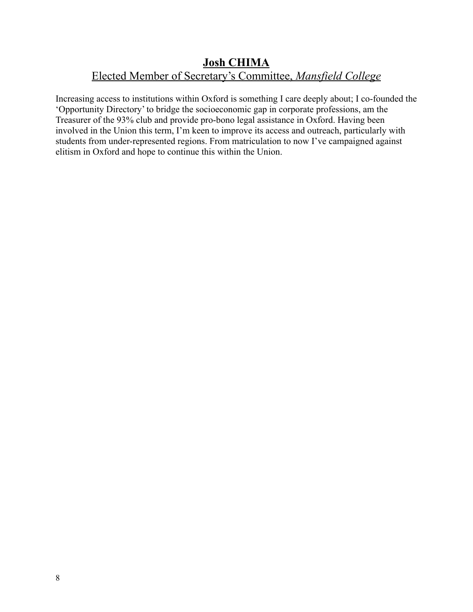### <span id="page-7-0"></span>**Josh CHIMA** Elected Member of Secretary's Committee, *Mansfield College*

Increasing access to institutions within Oxford is something I care deeply about; I co-founded the 'Opportunity Directory' to bridge the socioeconomic gap in corporate professions, am the Treasurer of the 93% club and provide pro-bono legal assistance in Oxford. Having been involved in the Union this term, I'm keen to improve its access and outreach, particularly with students from under-represented regions. From matriculation to now I've campaigned against elitism in Oxford and hope to continue this within the Union.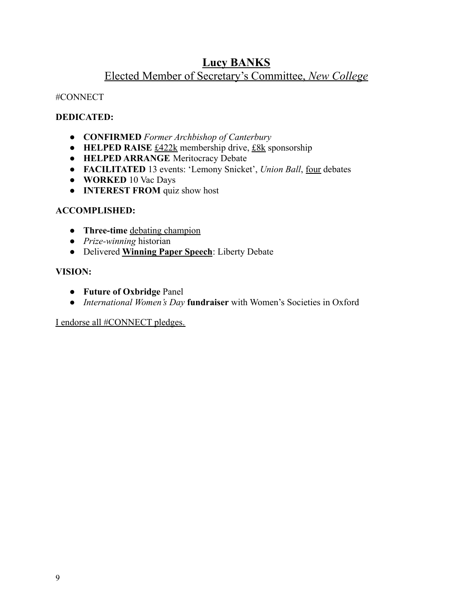# **Lucy BANKS**

### Elected Member of Secretary's Committee, *New College*

### <span id="page-8-0"></span>#CONNECT

### **DEDICATED:**

- **CONFIRMED** *Former Archbishop of Canterbury*
- **HELPED RAISE** £422k membership drive, £8k sponsorship
- **HELPED ARRANGE** Meritocracy Debate
- **FACILITATED** 13 events: 'Lemony Snicket', *Union Ball*, four debates
- **WORKED** 10 Vac Days
- **INTEREST FROM** quiz show host

### **ACCOMPLISHED:**

- **Three-time** debating champion
- *Prize-winning* historian
- Delivered **Winning Paper Speech**: Liberty Debate

### **VISION:**

- **Future of Oxbridge** Panel
- *International Women's Day* **fundraiser** with Women's Societies in Oxford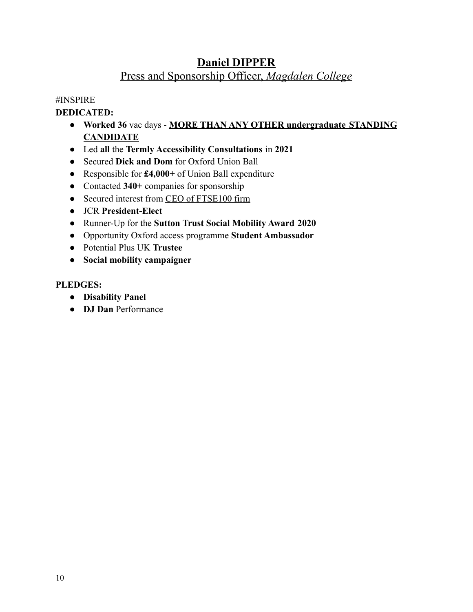# **Daniel DIPPER** Press and Sponsorship Officer, *Magdalen College*

### <span id="page-9-0"></span>#INSPIRE

### **DEDICATED:**

- **Worked 36** vac days **MORE THAN ANY OTHER undergraduate STANDING CANDIDATE**
- Led **all** the **Termly Accessibility Consultations** in **2021**
- Secured **Dick and Dom** for Oxford Union Ball
- Responsible for **£4,000+** of Union Ball expenditure
- Contacted **340+** companies for sponsorship
- Secured interest from CEO of FTSE100 firm
- JCR **President-Elect**
- Runner-Up for the **Sutton Trust Social Mobility Award 2020**
- Opportunity Oxford access programme **Student Ambassador**
- Potential Plus UK **Trustee**
- **● Social mobility campaigner**

### **PLEDGES:**

- **● Disability Panel**
- **DJ Dan** Performance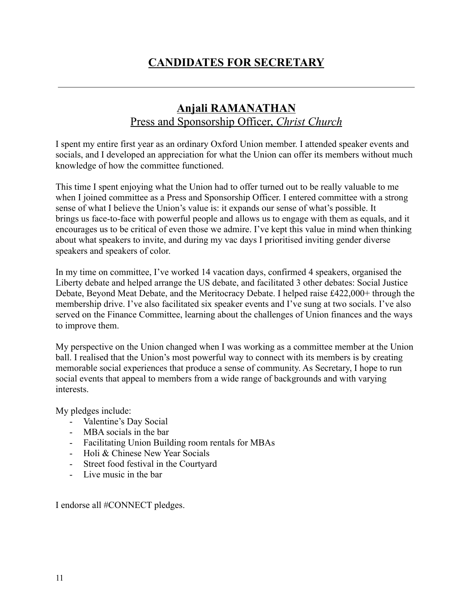# **CANDIDATES FOR SECRETARY**

# **Anjali RAMANATHAN** Press and Sponsorship Officer, *Christ Church*

<span id="page-10-1"></span><span id="page-10-0"></span>I spent my entire first year as an ordinary Oxford Union member. I attended speaker events and socials, and I developed an appreciation for what the Union can offer its members without much knowledge of how the committee functioned.

This time I spent enjoying what the Union had to offer turned out to be really valuable to me when I joined committee as a Press and Sponsorship Officer. I entered committee with a strong sense of what I believe the Union's value is: it expands our sense of what's possible. It brings us face-to-face with powerful people and allows us to engage with them as equals, and it encourages us to be critical of even those we admire. I've kept this value in mind when thinking about what speakers to invite, and during my vac days I prioritised inviting gender diverse speakers and speakers of color.

In my time on committee, I've worked 14 vacation days, confirmed 4 speakers, organised the Liberty debate and helped arrange the US debate, and facilitated 3 other debates: Social Justice Debate, Beyond Meat Debate, and the Meritocracy Debate. I helped raise £422,000+ through the membership drive. I've also facilitated six speaker events and I've sung at two socials. I've also served on the Finance Committee, learning about the challenges of Union finances and the ways to improve them.

My perspective on the Union changed when I was working as a committee member at the Union ball. I realised that the Union's most powerful way to connect with its members is by creating memorable social experiences that produce a sense of community. As Secretary, I hope to run social events that appeal to members from a wide range of backgrounds and with varying interests.

My pledges include:

- Valentine's Day Social
- MBA socials in the bar
- Facilitating Union Building room rentals for MBAs
- Holi & Chinese New Year Socials
- Street food festival in the Courtyard
- Live music in the bar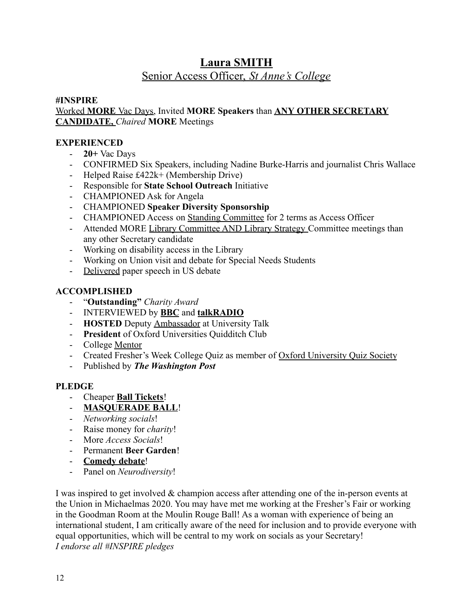# **Laura SMITH**

# Senior Access Officer, *St Anne's College*

### <span id="page-11-0"></span>**#INSPIRE**

### Worked **MORE** Vac Days, Invited **MORE Speakers** than **ANY OTHER SECRETARY CANDIDATE,** *Chaired* **MORE** Meetings

### **EXPERIENCED**

- **20+** Vac Days
- CONFIRMED Six Speakers, including Nadine Burke-Harris and journalist Chris Wallace
- Helped Raise £422k+ (Membership Drive)
- Responsible for **State School Outreach** Initiative
- CHAMPIONED Ask for Angela
- CHAMPIONED **Speaker Diversity Sponsorship**
- CHAMPIONED Access on Standing Committee for 2 terms as Access Officer
- Attended MORE Library Committee AND Library Strategy Committee meetings than any other Secretary candidate
- Working on disability access in the Library
- Working on Union visit and debate for Special Needs Students
- Delivered paper speech in US debate

### **ACCOMPLISHED**

- "**Outstanding"** *Charity Award*
- INTERVIEWED by **BBC** and **talkRADIO**
- **HOSTED** Deputy Ambassador at University Talk
- **President** of Oxford Universities Quidditch Club
- College Mentor
- Created Fresher's Week College Quiz as member of Oxford University Quiz Society
- Published by *The Washington Post*

### **PLEDGE**

- Cheaper **Ball Tickets**!
- **MASQUERADE BALL**!
- *Networking socials*!
- Raise money for *charity*!
- More *Access Socials*!
- Permanent **Beer Garden**!
- **Comedy debate**!
- Panel on *Neurodiversity*!

I was inspired to get involved & champion access after attending one of the in-person events at the Union in Michaelmas 2020. You may have met me working at the Fresher's Fair or working in the Goodman Room at the Moulin Rouge Ball! As a woman with experience of being an international student, I am critically aware of the need for inclusion and to provide everyone with equal opportunities, which will be central to my work on socials as your Secretary! *I endorse all #INSPIRE pledges*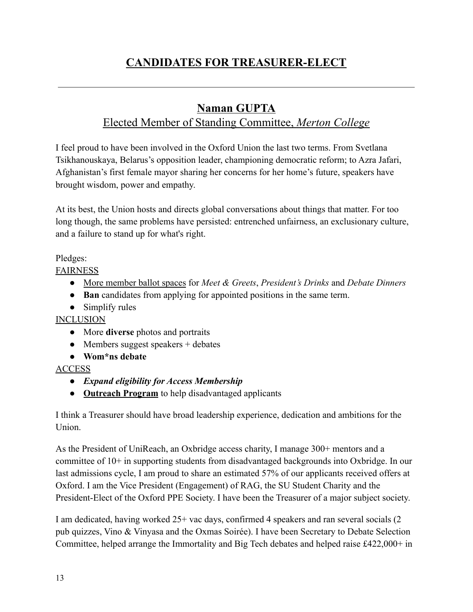# <span id="page-12-0"></span>**CANDIDATES FOR TREASURER-ELECT**

# **Naman GUPTA**

# Elected Member of Standing Committee, *Merton College*

<span id="page-12-1"></span>I feel proud to have been involved in the Oxford Union the last two terms. From Svetlana Tsikhanouskaya, Belarus's opposition leader, championing democratic reform; to Azra Jafari, Afghanistan's first female mayor sharing her concerns for her home's future, speakers have brought wisdom, power and empathy.

At its best, the Union hosts and directs global conversations about things that matter. For too long though, the same problems have persisted: entrenched unfairness, an exclusionary culture, and a failure to stand up for what's right.

### Pledges:

FAIRNESS

- More member ballot spaces for *Meet & Greets*, *President's Drinks* and *Debate Dinners*
- **Ban** candidates from applying for appointed positions in the same term.
- Simplify rules

INCLUSION

- More **diverse** photos and portraits
- $\bullet$  Members suggest speakers + debates
- **Wom\*ns debate**

### ACCESS

- *● Expand eligibility for Access Membership*
- *●* **Outreach Program** to help disadvantaged applicants

I think a Treasurer should have broad leadership experience, dedication and ambitions for the Union.

As the President of UniReach, an Oxbridge access charity, I manage 300+ mentors and a committee of 10+ in supporting students from disadvantaged backgrounds into Oxbridge. In our last admissions cycle, I am proud to share an estimated 57% of our applicants received offers at Oxford. I am the Vice President (Engagement) of RAG, the SU Student Charity and the President-Elect of the Oxford PPE Society. I have been the Treasurer of a major subject society.

I am dedicated, having worked 25+ vac days, confirmed 4 speakers and ran several socials (2 pub quizzes, Vino & Vinyasa and the Oxmas Soirée). I have been Secretary to Debate Selection Committee, helped arrange the Immortality and Big Tech debates and helped raise £422,000+ in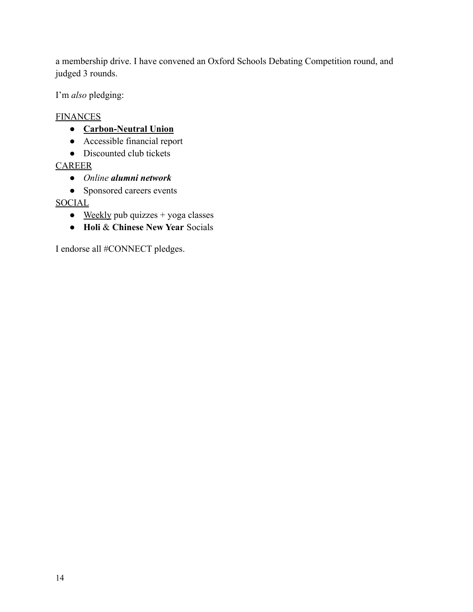a membership drive. I have convened an Oxford Schools Debating Competition round, and judged 3 rounds.

I'm *also* pledging:

### **FINANCES**

- **● Carbon-Neutral Union**
- Accessible financial report
- Discounted club tickets

### **CAREER**

- *Online alumni network*
- Sponsored careers events

### **SOCIAL**

- $\bullet$  Weekly pub quizzes + yoga classes
- **Holi** & **Chinese New Year** Socials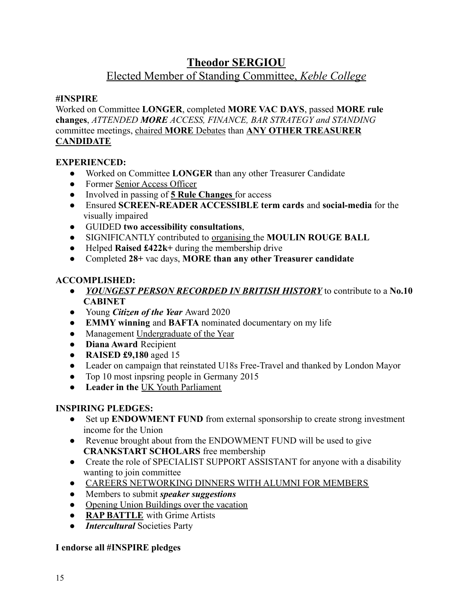# **Theodor SERGIOU**

### Elected Member of Standing Committee, *Keble College*

### <span id="page-14-0"></span>**#INSPIRE**

Worked on Committee **LONGER**, completed **MORE VAC DAYS**, passed **MORE rule changes**, *ATTENDED MORE ACCESS, FINANCE, BAR STRATEGY and STANDING* committee meetings, chaired **MORE** Debates than **ANY OTHER TREASURER CANDIDATE**

### **EXPERIENCED:**

- Worked on Committee **LONGER** than any other Treasurer Candidate
- Former Senior Access Officer
- Involved in passing of **5 Rule Changes** for access
- Ensured **SCREEN-READER ACCESSIBLE term cards** and **social-media** for the visually impaired
- GUIDED **two accessibility consultations**,
- SIGNIFICANTLY contributed to organising the **MOULIN ROUGE BALL**
- Helped **Raised £422k+** during the membership drive
- Completed **28+** vac days, **MORE than any other Treasurer candidate**

### **ACCOMPLISHED:**

- *YOUNGEST PERSON RECORDED IN BRITISH HISTORY* to contribute to a **No.10 CABINET**
- Young *Citizen of the Year* Award 2020
- **EMMY winning** and **BAFTA** nominated documentary on my life
- Management Undergraduate of the Year
- **Diana Award** Recipient
- **RAISED £9,180** aged 15
- Leader on campaign that reinstated U18s Free-Travel and thanked by London Mayor
- Top 10 most inpsring people in Germany 2015
- **Leader in the** UK Youth Parliament

### **INSPIRING PLEDGES:**

- Set up **ENDOWMENT FUND** from external sponsorship to create strong investment income for the Union
- Revenue brought about from the ENDOWMENT FUND will be used to give **CRANKSTART SCHOLARS** free membership
- Create the role of SPECIALIST SUPPORT ASSISTANT for anyone with a disability wanting to join committee
- CAREERS NETWORKING DINNERS WITH ALUMNI FOR MEMBERS
- Members to submit *speaker suggestions*
- Opening Union Buildings over the vacation
- **RAP BATTLE** with Grime Artists
- *Intercultural* Societies Party

### **I endorse all #INSPIRE pledges**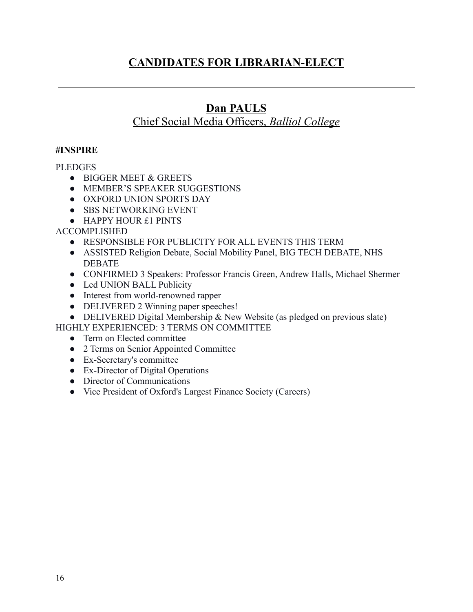# <span id="page-15-0"></span>**CANDIDATES FOR LIBRARIAN-ELECT**

# **Dan PAULS**

# Chief Social Media Officers, *Balliol College*

#### <span id="page-15-1"></span>**#INSPIRE**

#### **PLEDGES**

- BIGGER MEET & GREETS
- MEMBER'S SPEAKER SUGGESTIONS
- OXFORD UNION SPORTS DAY
- SBS NETWORKING EVENT
- HAPPY HOUR £1 PINTS

ACCOMPLISHED

- RESPONSIBLE FOR PUBLICITY FOR ALL EVENTS THIS TERM
- ASSISTED Religion Debate, Social Mobility Panel, BIG TECH DEBATE, NHS **DEBATE**
- CONFIRMED 3 Speakers: Professor Francis Green, Andrew Halls, Michael Shermer
- Led UNION BALL Publicity
- Interest from world-renowned rapper
- DELIVERED 2 Winning paper speeches!
- DELIVERED Digital Membership & New Website (as pledged on previous slate)

HIGHLY EXPERIENCED: 3 TERMS ON COMMITTEE

- Term on Elected committee
- 2 Terms on Senior Appointed Committee
- Ex-Secretary's committee
- Ex-Director of Digital Operations
- Director of Communications
- Vice President of Oxford's Largest Finance Society (Careers)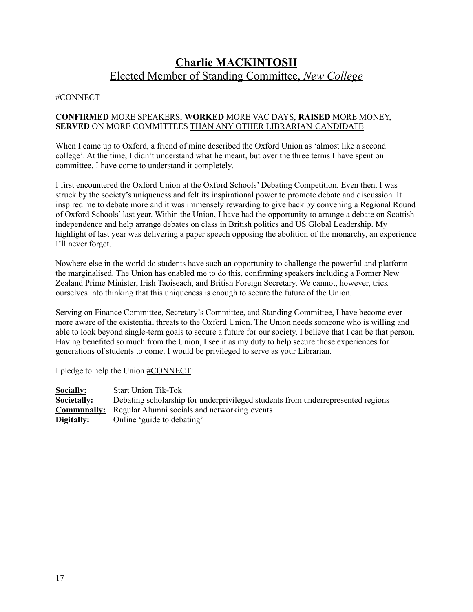# **Charlie MACKINTOSH** Elected Member of Standing Committee, *New College*

#### <span id="page-16-0"></span>#CONNECT

#### **CONFIRMED** MORE SPEAKERS, **WORKED** MORE VAC DAYS, **RAISED** MORE MONEY, **SERVED** ON MORE COMMITTEES THAN ANY OTHER LIBRARIAN CANDIDATE

When I came up to Oxford, a friend of mine described the Oxford Union as 'almost like a second college'. At the time, I didn't understand what he meant, but over the three terms I have spent on committee, I have come to understand it completely.

I first encountered the Oxford Union at the Oxford Schools' Debating Competition. Even then, I was struck by the society's uniqueness and felt its inspirational power to promote debate and discussion. It inspired me to debate more and it was immensely rewarding to give back by convening a Regional Round of Oxford Schools' last year. Within the Union, I have had the opportunity to arrange a debate on Scottish independence and help arrange debates on class in British politics and US Global Leadership. My highlight of last year was delivering a paper speech opposing the abolition of the monarchy, an experience I'll never forget.

Nowhere else in the world do students have such an opportunity to challenge the powerful and platform the marginalised. The Union has enabled me to do this, confirming speakers including a Former New Zealand Prime Minister, Irish Taoiseach, and British Foreign Secretary. We cannot, however, trick ourselves into thinking that this uniqueness is enough to secure the future of the Union.

Serving on Finance Committee, Secretary's Committee, and Standing Committee, I have become ever more aware of the existential threats to the Oxford Union. The Union needs someone who is willing and able to look beyond single-term goals to secure a future for our society. I believe that I can be that person. Having benefited so much from the Union, I see it as my duty to help secure those experiences for generations of students to come. I would be privileged to serve as your Librarian.

I pledge to help the Union #CONNECT:

**Socially:** Start Union Tik-Tok **Societally:** Debating scholarship for underprivileged students from underrepresented regions **Communally:** Regular Alumni socials and networking events **Digitally:** Online 'guide to debating'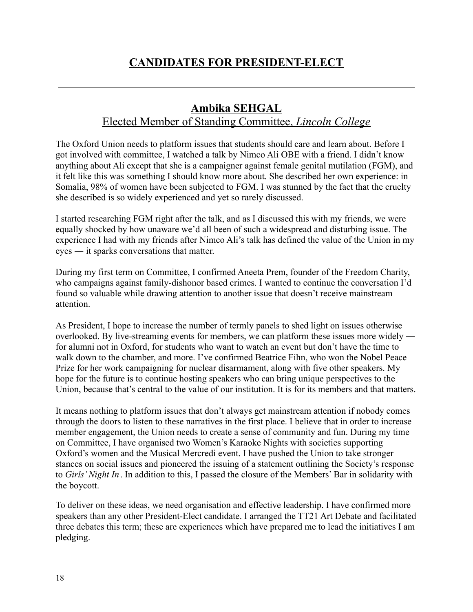# <span id="page-17-0"></span>**CANDIDATES FOR PRESIDENT-ELECT**

# **Ambika SEHGAL**

### Elected Member of Standing Committee, *Lincoln College*

<span id="page-17-1"></span>The Oxford Union needs to platform issues that students should care and learn about. Before I got involved with committee, I watched a talk by Nimco Ali OBE with a friend. I didn't know anything about Ali except that she is a campaigner against female genital mutilation (FGM), and it felt like this was something I should know more about. She described her own experience: in Somalia, 98% of women have been subjected to FGM. I was stunned by the fact that the cruelty she described is so widely experienced and yet so rarely discussed.

I started researching FGM right after the talk, and as I discussed this with my friends, we were equally shocked by how unaware we'd all been of such a widespread and disturbing issue. The experience I had with my friends after Nimco Ali's talk has defined the value of the Union in my eyes ― it sparks conversations that matter.

During my first term on Committee, I confirmed Aneeta Prem, founder of the Freedom Charity, who campaigns against family-dishonor based crimes. I wanted to continue the conversation I'd found so valuable while drawing attention to another issue that doesn't receive mainstream attention.

As President, I hope to increase the number of termly panels to shed light on issues otherwise overlooked. By live-streaming events for members, we can platform these issues more widely ― for alumni not in Oxford, for students who want to watch an event but don't have the time to walk down to the chamber, and more. I've confirmed Beatrice Fihn, who won the Nobel Peace Prize for her work campaigning for nuclear disarmament, along with five other speakers. My hope for the future is to continue hosting speakers who can bring unique perspectives to the Union, because that's central to the value of our institution. It is for its members and that matters.

It means nothing to platform issues that don't always get mainstream attention if nobody comes through the doors to listen to these narratives in the first place. I believe that in order to increase member engagement, the Union needs to create a sense of community and fun. During my time on Committee, I have organised two Women's Karaoke Nights with societies supporting Oxford's women and the Musical Mercredi event. I have pushed the Union to take stronger stances on social issues and pioneered the issuing of a statement outlining the Society's response to *Girls' Night In*. In addition to this, I passed the closure of the Members' Bar in solidarity with the boycott.

To deliver on these ideas, we need organisation and effective leadership. I have confirmed more speakers than any other President-Elect candidate. I arranged the TT21 Art Debate and facilitated three debates this term; these are experiences which have prepared me to lead the initiatives I am pledging.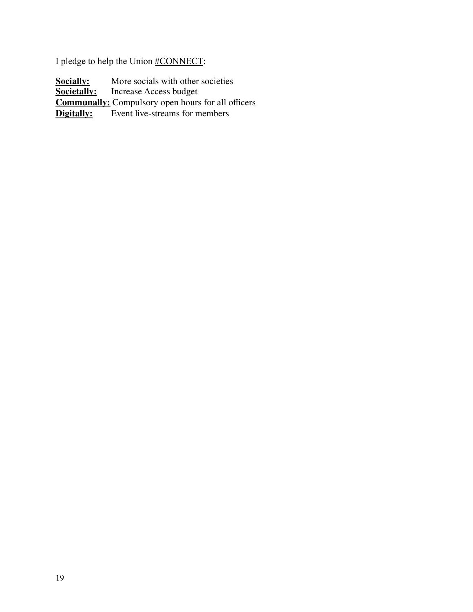I pledge to help the Union #CONNECT:

**Socially:** More socials with other societies<br>**Societally:** Increase Access budget **Increase Access budget Communally:** Compulsory open hours for all officers **Digitally:** Event live-streams for members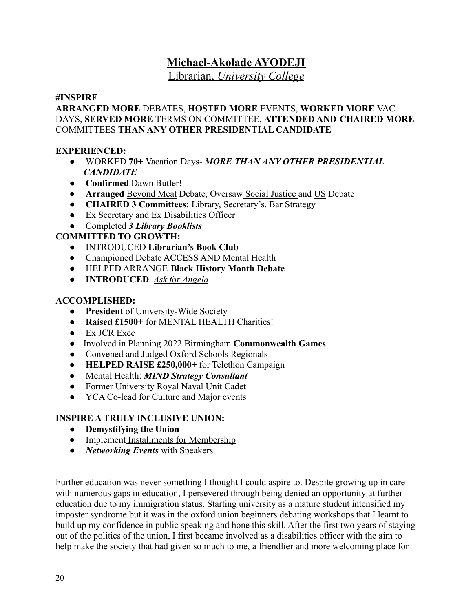### **Michael-Akolade AYODEJI**

Librarian, *University College*

#### <span id="page-19-0"></span>**#INSPIRE**

### **ARRANGED MORE** DEBATES, **HOSTED MORE** EVENTS, **WORKED MORE** VAC DAYS, **SERVED MORE** TERMS ON COMMITTEE, **ATTENDED AND CHAIRED MORE** COMMITTEES **THAN ANY OTHER PRESIDENTIAL CANDIDATE**

#### **EXPERIENCED:**

- WORKED **70+** Vacation Days- *MORE THAN ANY OTHER PRESIDENTIAL CANDIDATE*
- **Confirmed** Dawn Butler!
- **Arranged** Beyond Meat Debate, Oversaw Social Justice and US Debate
- **CHAIRED 3 Committees:** Library, Secretary's, Bar Strategy
- Ex Secretary and Ex Disabilities Officer
- Completed *3 Library Booklists*

### **COMMITTED TO GROWTH:**

- INTRODUCED **Librarian's Book Club**
- Championed Debate ACCESS AND Mental Health
- HELPED ARRANGE **Black History Month Debate**
- **INTRODUCED** *Ask for Angela*

### **ACCOMPLISHED:**

- **President** of University-Wide Society
- **Raised £1500+** for MENTAL HEALTH Charities!
- Ex JCR Exec
- Involved in Planning 2022 Birmingham **Commonwealth Games**
- Convened and Judged Oxford Schools Regionals
- **HELPED RAISE £250,000+** for Telethon Campaign
- Mental Health: *MIND Strategy Consultant*
- Former University Royal Naval Unit Cadet
- YCA Co-lead for Culture and Major events

### **INSPIRE A TRULY INCLUSIVE UNION:**

- **Demystifying the Union**
- Implement Installments for Membership
- *Networking Events* with Speakers

Further education was never something I thought I could aspire to. Despite growing up in care with numerous gaps in education, I persevered through being denied an opportunity at further education due to my immigration status. Starting university as a mature student intensified my imposter syndrome but it was in the oxford union beginners debating workshops that I learnt to build up my confidence in public speaking and hone this skill. After the first two years of staying out of the politics of the union, I first became involved as a disabilities officer with the aim to help make the society that had given so much to me, a friendlier and more welcoming place for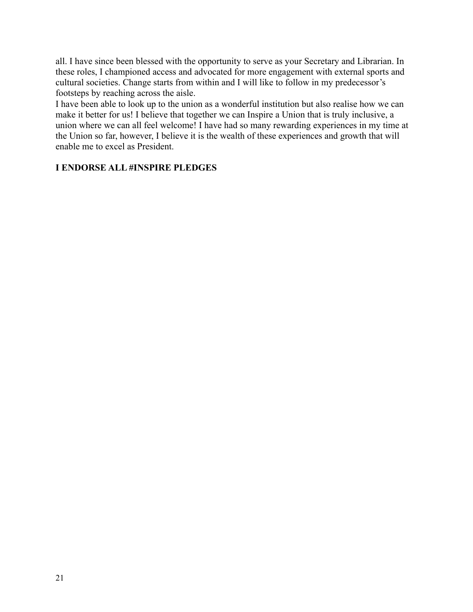all. I have since been blessed with the opportunity to serve as your Secretary and Librarian. In these roles, I championed access and advocated for more engagement with external sports and cultural societies. Change starts from within and I will like to follow in my predecessor's footsteps by reaching across the aisle.

I have been able to look up to the union as a wonderful institution but also realise how we can make it better for us! I believe that together we can Inspire a Union that is truly inclusive, a union where we can all feel welcome! I have had so many rewarding experiences in my time at the Union so far, however, I believe it is the wealth of these experiences and growth that will enable me to excel as President.

### **I ENDORSE ALL #INSPIRE PLEDGES**